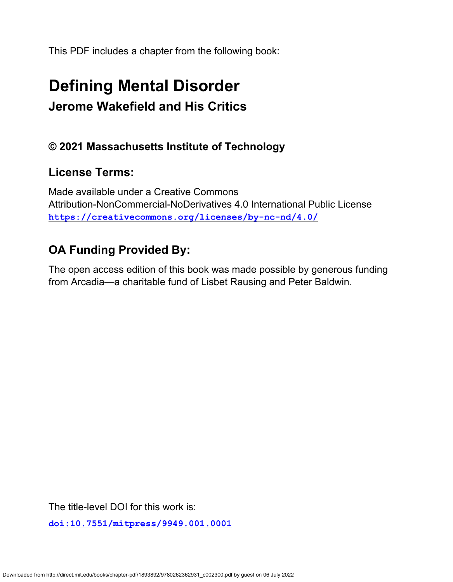This PDF includes a chapter from the following book:

# **Defining Mental Disorder Jerome Wakefield and His Critics**

### **© 2021 Massachusetts Institute of Technology**

## **License Terms:**

Made available under a Creative Commons Attribution-NonCommercial-NoDerivatives 4.0 International Public License **<https://creativecommons.org/licenses/by-nc-nd/4.0/>**

# **OA Funding Provided By:**

The open access edition of this book was made possible by generous funding from Arcadia—a charitable fund of Lisbet Rausing and Peter Baldwin.

The title-level DOI for this work is:

**[doi:10.7551/mitpress/9949.001.0001](https://doi.org/10.7551/mitpress/9949.001.0001)**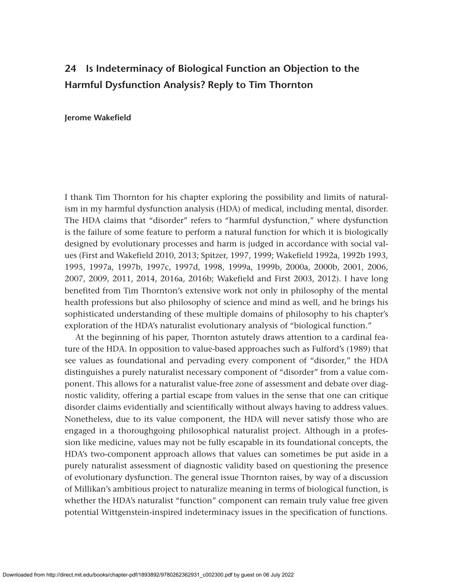### **24 Is Indeterminacy of Biological Function an Objection to the Harmful Dysfunction Analysis? Reply to Tim Thornton**

**Jerome Wakefield**

I thank Tim Thornton for his chapter exploring the possibility and limits of naturalism in my harmful dysfunction analysis (HDA) of medical, including mental, disorder. The HDA claims that "disorder" refers to "harmful dysfunction," where dysfunction is the failure of some feature to perform a natural function for which it is biologically designed by evolutionary processes and harm is judged in accordance with social values (First and Wakefield 2010, 2013; Spitzer, 1997, 1999; Wakefield 1992a, 1992b 1993, 1995, 1997a, 1997b, 1997c, 1997d, 1998, 1999a, 1999b, 2000a, 2000b, 2001, 2006, 2007, 2009, 2011, 2014, 2016a, 2016b; Wakefield and First 2003, 2012). I have long benefited from Tim Thornton's extensive work not only in philosophy of the mental health professions but also philosophy of science and mind as well, and he brings his sophisticated understanding of these multiple domains of philosophy to his chapter's exploration of the HDA's naturalist evolutionary analysis of "biological function."

At the beginning of his paper, Thornton astutely draws attention to a cardinal feature of the HDA. In opposition to value-based approaches such as Fulford's (1989) that see values as foundational and pervading every component of "disorder," the HDA distinguishes a purely naturalist necessary component of "disorder" from a value component. This allows for a naturalist value-free zone of assessment and debate over diagnostic validity, offering a partial escape from values in the sense that one can critique disorder claims evidentially and scientifically without always having to address values. Nonetheless, due to its value component, the HDA will never satisfy those who are engaged in a thoroughgoing philosophical naturalist project. Although in a profession like medicine, values may not be fully escapable in its foundational concepts, the HDA's two-component approach allows that values can sometimes be put aside in a purely naturalist assessment of diagnostic validity based on questioning the presence of evolutionary dysfunction. The general issue Thornton raises, by way of a discussion of Millikan's ambitious project to naturalize meaning in terms of biological function, is whether the HDA's naturalist "function" component can remain truly value free given potential Wittgenstein-inspired indeterminacy issues in the specification of functions.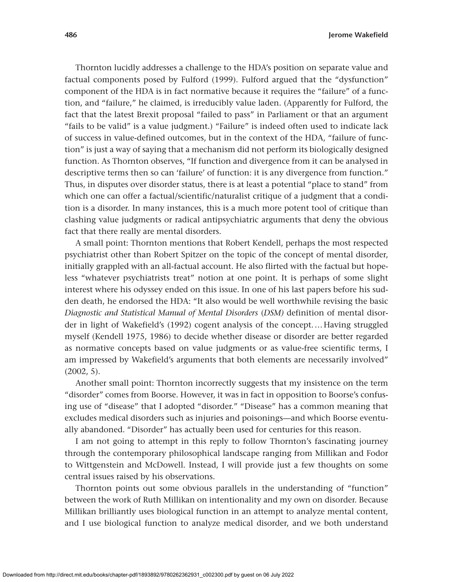**486 Jerome Wakefield**

Thornton lucidly addresses a challenge to the HDA's position on separate value and factual components posed by Fulford (1999). Fulford argued that the "dysfunction" component of the HDA is in fact normative because it requires the "failure" of a function, and "failure," he claimed, is irreducibly value laden. (Apparently for Fulford, the fact that the latest Brexit proposal "failed to pass" in Parliament or that an argument "fails to be valid" is a value judgment.) "Failure" is indeed often used to indicate lack of success in value-defined outcomes, but in the context of the HDA, "failure of function" is just a way of saying that a mechanism did not perform its biologically designed function. As Thornton observes, "If function and divergence from it can be analysed in descriptive terms then so can 'failure' of function: it is any divergence from function." Thus, in disputes over disorder status, there is at least a potential "place to stand" from which one can offer a factual/scientific/naturalist critique of a judgment that a condition is a disorder. In many instances, this is a much more potent tool of critique than clashing value judgments or radical antipsychiatric arguments that deny the obvious fact that there really are mental disorders.

A small point: Thornton mentions that Robert Kendell, perhaps the most respected psychiatrist other than Robert Spitzer on the topic of the concept of mental disorder, initially grappled with an all-factual account. He also flirted with the factual but hopeless "whatever psychiatrists treat" notion at one point. It is perhaps of some slight interest where his odyssey ended on this issue. In one of his last papers before his sudden death, he endorsed the HDA: "It also would be well worthwhile revising the basic *Diagnostic and Statistical Manual of Mental Disorders* (*DSM)* definition of mental disorder in light of Wakefield's (1992) cogent analysis of the concept.…Having struggled myself (Kendell 1975, 1986) to decide whether disease or disorder are better regarded as normative concepts based on value judgments or as value-free scientific terms, I am impressed by Wakefield's arguments that both elements are necessarily involved" (2002, 5).

Another small point: Thornton incorrectly suggests that my insistence on the term "disorder" comes from Boorse. However, it was in fact in opposition to Boorse's confusing use of "disease" that I adopted "disorder." "Disease" has a common meaning that excludes medical disorders such as injuries and poisonings—and which Boorse eventually abandoned. "Disorder" has actually been used for centuries for this reason.

I am not going to attempt in this reply to follow Thornton's fascinating journey through the contemporary philosophical landscape ranging from Millikan and Fodor to Wittgenstein and McDowell. Instead, I will provide just a few thoughts on some central issues raised by his observations.

Thornton points out some obvious parallels in the understanding of "function" between the work of Ruth Millikan on intentionality and my own on disorder. Because Millikan brilliantly uses biological function in an attempt to analyze mental content, and I use biological function to analyze medical disorder, and we both understand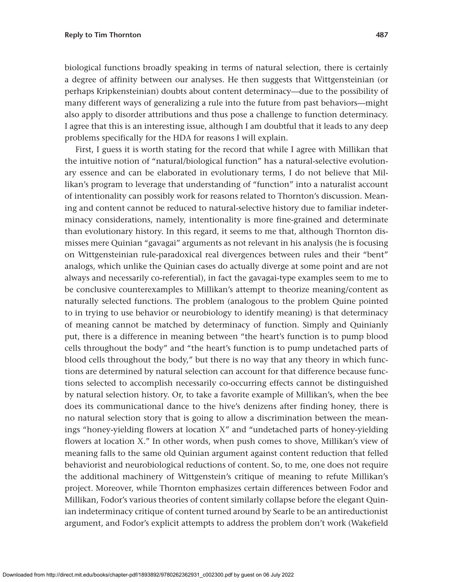biological functions broadly speaking in terms of natural selection, there is certainly a degree of affinity between our analyses. He then suggests that Wittgensteinian (or perhaps Kripkensteinian) doubts about content determinacy—due to the possibility of many different ways of generalizing a rule into the future from past behaviors—might also apply to disorder attributions and thus pose a challenge to function determinacy. I agree that this is an interesting issue, although I am doubtful that it leads to any deep problems specifically for the HDA for reasons I will explain.

First, I guess it is worth stating for the record that while I agree with Millikan that the intuitive notion of "natural/biological function" has a natural-selective evolutionary essence and can be elaborated in evolutionary terms, I do not believe that Millikan's program to leverage that understanding of "function" into a naturalist account of intentionality can possibly work for reasons related to Thornton's discussion. Meaning and content cannot be reduced to natural-selective history due to familiar indeterminacy considerations, namely, intentionality is more fine-grained and determinate than evolutionary history. In this regard, it seems to me that, although Thornton dismisses mere Quinian "gavagai" arguments as not relevant in his analysis (he is focusing on Wittgensteinian rule-paradoxical real divergences between rules and their "bent" analogs, which unlike the Quinian cases do actually diverge at some point and are not always and necessarily co-referential), in fact the gavagai-type examples seem to me to be conclusive counterexamples to Millikan's attempt to theorize meaning/content as naturally selected functions. The problem (analogous to the problem Quine pointed to in trying to use behavior or neurobiology to identify meaning) is that determinacy of meaning cannot be matched by determinacy of function. Simply and Quinianly put, there is a difference in meaning between "the heart's function is to pump blood cells throughout the body" and "the heart's function is to pump undetached parts of blood cells throughout the body," but there is no way that any theory in which functions are determined by natural selection can account for that difference because functions selected to accomplish necessarily co-occurring effects cannot be distinguished by natural selection history. Or, to take a favorite example of Millikan's, when the bee does its communicational dance to the hive's denizens after finding honey, there is no natural selection story that is going to allow a discrimination between the meanings "honey-yielding flowers at location X" and "undetached parts of honey-yielding flowers at location X." In other words, when push comes to shove, Millikan's view of meaning falls to the same old Quinian argument against content reduction that felled behaviorist and neurobiological reductions of content. So, to me, one does not require the additional machinery of Wittgenstein's critique of meaning to refute Millikan's project. Moreover, while Thornton emphasizes certain differences between Fodor and Millikan, Fodor's various theories of content similarly collapse before the elegant Quinian indeterminacy critique of content turned around by Searle to be an antireductionist argument, and Fodor's explicit attempts to address the problem don't work (Wakefield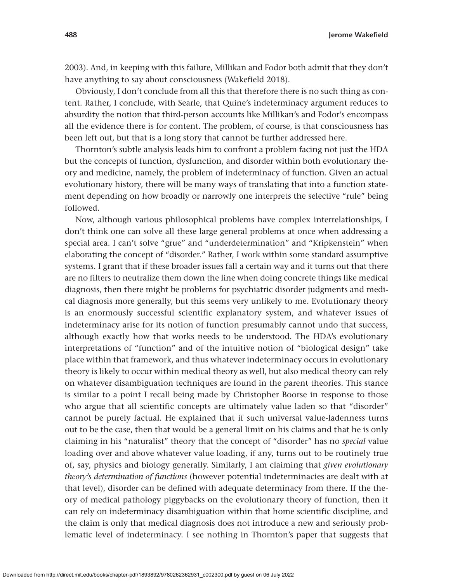**488 Jerome Wakefield**

2003). And, in keeping with this failure, Millikan and Fodor both admit that they don't have anything to say about consciousness (Wakefield 2018).

Obviously, I don't conclude from all this that therefore there is no such thing as content. Rather, I conclude, with Searle, that Quine's indeterminacy argument reduces to absurdity the notion that third-person accounts like Millikan's and Fodor's encompass all the evidence there is for content. The problem, of course, is that consciousness has been left out, but that is a long story that cannot be further addressed here.

Thornton's subtle analysis leads him to confront a problem facing not just the HDA but the concepts of function, dysfunction, and disorder within both evolutionary theory and medicine, namely, the problem of indeterminacy of function. Given an actual evolutionary history, there will be many ways of translating that into a function statement depending on how broadly or narrowly one interprets the selective "rule" being followed.

Now, although various philosophical problems have complex interrelationships, I don't think one can solve all these large general problems at once when addressing a special area. I can't solve "grue" and "underdetermination" and "Kripkenstein" when elaborating the concept of "disorder." Rather, I work within some standard assumptive systems. I grant that if these broader issues fall a certain way and it turns out that there are no filters to neutralize them down the line when doing concrete things like medical diagnosis, then there might be problems for psychiatric disorder judgments and medical diagnosis more generally, but this seems very unlikely to me. Evolutionary theory is an enormously successful scientific explanatory system, and whatever issues of indeterminacy arise for its notion of function presumably cannot undo that success, although exactly how that works needs to be understood. The HDA's evolutionary interpretations of "function" and of the intuitive notion of "biological design" take place within that framework, and thus whatever indeterminacy occurs in evolutionary theory is likely to occur within medical theory as well, but also medical theory can rely on whatever disambiguation techniques are found in the parent theories. This stance is similar to a point I recall being made by Christopher Boorse in response to those who argue that all scientific concepts are ultimately value laden so that "disorder" cannot be purely factual. He explained that if such universal value-ladenness turns out to be the case, then that would be a general limit on his claims and that he is only claiming in his "naturalist" theory that the concept of "disorder" has no *special* value loading over and above whatever value loading, if any, turns out to be routinely true of, say, physics and biology generally. Similarly, I am claiming that *given evolutionary theory's determination of functions* (however potential indeterminacies are dealt with at that level), disorder can be defined with adequate determinacy from there. If the theory of medical pathology piggybacks on the evolutionary theory of function, then it can rely on indeterminacy disambiguation within that home scientific discipline, and the claim is only that medical diagnosis does not introduce a new and seriously problematic level of indeterminacy. I see nothing in Thornton's paper that suggests that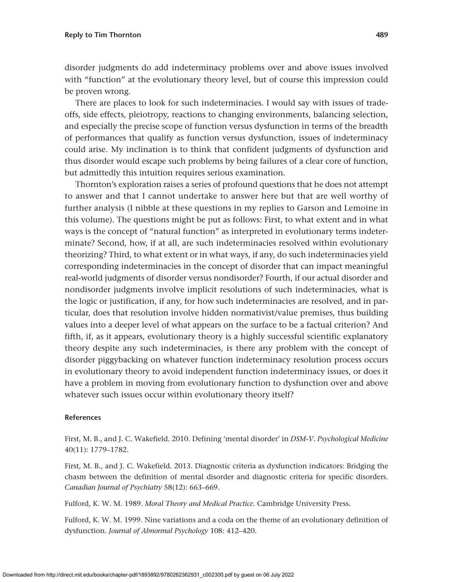#### **Reply to Tim Thornton 489**

disorder judgments do add indeterminacy problems over and above issues involved with "function" at the evolutionary theory level, but of course this impression could be proven wrong.

There are places to look for such indeterminacies. I would say with issues of tradeoffs, side effects, pleiotropy, reactions to changing environments, balancing selection, and especially the precise scope of function versus dysfunction in terms of the breadth of performances that qualify as function versus dysfunction, issues of indeterminacy could arise. My inclination is to think that confident judgments of dysfunction and thus disorder would escape such problems by being failures of a clear core of function, but admittedly this intuition requires serious examination.

Thornton's exploration raises a series of profound questions that he does not attempt to answer and that I cannot undertake to answer here but that are well worthy of further analysis (I nibble at these questions in my replies to Garson and Lemoine in this volume). The questions might be put as follows: First, to what extent and in what ways is the concept of "natural function" as interpreted in evolutionary terms indeterminate? Second, how, if at all, are such indeterminacies resolved within evolutionary theorizing? Third, to what extent or in what ways, if any, do such indeterminacies yield corresponding indeterminacies in the concept of disorder that can impact meaningful real-world judgments of disorder versus nondisorder? Fourth, if our actual disorder and nondisorder judgments involve implicit resolutions of such indeterminacies, what is the logic or justification, if any, for how such indeterminacies are resolved, and in particular, does that resolution involve hidden normativist/value premises, thus building values into a deeper level of what appears on the surface to be a factual criterion? And fifth, if, as it appears, evolutionary theory is a highly successful scientific explanatory theory despite any such indeterminacies, is there any problem with the concept of disorder piggybacking on whatever function indeterminacy resolution process occurs in evolutionary theory to avoid independent function indeterminacy issues, or does it have a problem in moving from evolutionary function to dysfunction over and above whatever such issues occur within evolutionary theory itself?

#### **References**

First, M. B., and J. C. Wakefield. 2010. Defining 'mental disorder' in *DSM-V*. *Psychological Medicine* 40(11): 1779–1782.

First, M. B., and J. C. Wakefield. 2013. Diagnostic criteria as dysfunction indicators: Bridging the chasm between the definition of mental disorder and diagnostic criteria for specific disorders. *Canadian Journal of Psychiatry* 58(12): 663–669.

Fulford, K. W. M. 1989. *Moral Theory and Medical Practice.* Cambridge University Press.

Fulford, K. W. M. 1999. Nine variations and a coda on the theme of an evolutionary definition of dysfunction. *Journal of Abnormal Psychology* 108: 412–420.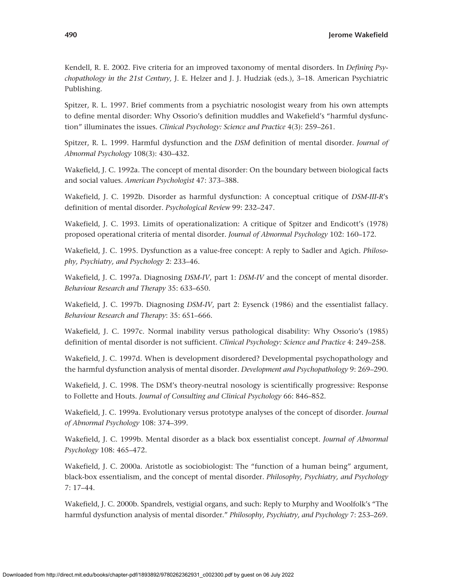Kendell, R. E. 2002. Five criteria for an improved taxonomy of mental disorders. In *Defining Psychopathology in the 21st Century,* J. E. Helzer and J. J. Hudziak (eds.), 3–18. American Psychiatric Publishing.

Spitzer, R. L. 1997. Brief comments from a psychiatric nosologist weary from his own attempts to define mental disorder: Why Ossorio's definition muddles and Wakefield's "harmful dysfunction" illuminates the issues. *Clinical Psychology: Science and Practice* 4(3): 259–261.

Spitzer, R. L. 1999. Harmful dysfunction and the *DSM* definition of mental disorder. *Journal of Abnormal Psychology* 108(3): 430–432.

Wakefield, J. C. 1992a. The concept of mental disorder: On the boundary between biological facts and social values. *American Psychologist* 47: 373–388.

Wakefield, J. C. 1992b. Disorder as harmful dysfunction: A conceptual critique of *DSM-III-R*'s definition of mental disorder. *Psychological Review* 99: 232–247.

Wakefield, J. C. 1993. Limits of operationalization: A critique of Spitzer and Endicott's (1978) proposed operational criteria of mental disorder. *Journal of Abnormal Psychology* 102: 160–172.

Wakefield, J. C. 1995. Dysfunction as a value-free concept: A reply to Sadler and Agich. *Philosophy, Psychiatry, and Psychology* 2: 233–46.

Wakefield, J. C. 1997a. Diagnosing *DSM-IV*, part 1: *DSM-IV* and the concept of mental disorder. *Behaviour Research and Therapy* 35: 633–650.

Wakefield, J. C. 1997b. Diagnosing *DSM-IV*, part 2: Eysenck (1986) and the essentialist fallacy. *Behaviour Research and Therapy*: 35: 651–666.

Wakefield, J. C. 1997c. Normal inability versus pathological disability: Why Ossorio's (1985) definition of mental disorder is not sufficient. *Clinical Psychology: Science and Practice* 4: 249–258.

Wakefield, J. C. 1997d. When is development disordered? Developmental psychopathology and the harmful dysfunction analysis of mental disorder. *Development and Psychopathology* 9: 269–290.

Wakefield, J. C. 1998. The DSM's theory-neutral nosology is scientifically progressive: Response to Follette and Houts. *Journal of Consulting and Clinical Psychology* 66: 846–852.

Wakefield, J. C. 1999a. Evolutionary versus prototype analyses of the concept of disorder. *Journal of Abnormal Psychology* 108: 374–399.

Wakefield, J. C. 1999b. Mental disorder as a black box essentialist concept. *Journal of Abnormal Psychology* 108: 465–472.

Wakefield, J. C. 2000a. Aristotle as sociobiologist: The "function of a human being" argument, black-box essentialism, and the concept of mental disorder. *Philosophy, Psychiatry, and Psychology* 7: 17–44.

Wakefield, J. C. 2000b. Spandrels, vestigial organs, and such: Reply to Murphy and Woolfolk's "The harmful dysfunction analysis of mental disorder." *Philosophy, Psychiatry, and Psychology* 7: 253–269.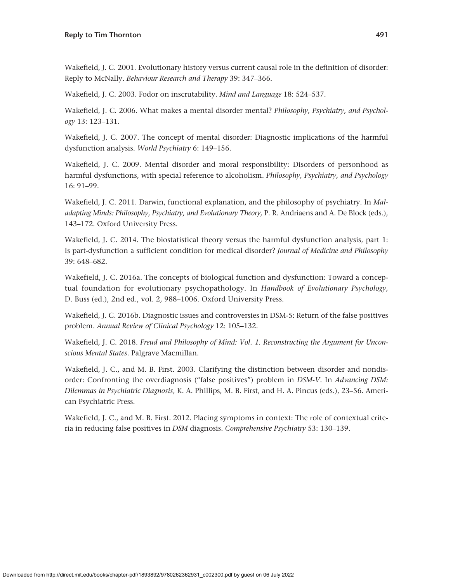Wakefield, J. C. 2001. Evolutionary history versus current causal role in the definition of disorder: Reply to McNally. *Behaviour Research and Therapy* 39: 347–366.

Wakefield, J. C. 2003. Fodor on inscrutability. *Mind and Language* 18: 524–537.

Wakefield, J. C. 2006. What makes a mental disorder mental? *Philosophy, Psychiatry, and Psychology* 13: 123–131.

Wakefield, J. C. 2007. The concept of mental disorder: Diagnostic implications of the harmful dysfunction analysis. *World Psychiatry* 6: 149–156.

Wakefield, J. C. 2009. Mental disorder and moral responsibility: Disorders of personhood as harmful dysfunctions, with special reference to alcoholism. *Philosophy, Psychiatry, and Psychology* 16: 91–99.

Wakefield, J. C. 2011. Darwin, functional explanation, and the philosophy of psychiatry. In *Maladapting Minds: Philosophy, Psychiatry, and Evolutionary Theory,* P. R. Andriaens and A. De Block (eds.), 143–172. Oxford University Press.

Wakefield, J. C. 2014. The biostatistical theory versus the harmful dysfunction analysis, part 1: Is part-dysfunction a sufficient condition for medical disorder? *Journal of Medicine and Philosophy* 39: 648–682.

Wakefield, J. C. 2016a. The concepts of biological function and dysfunction: Toward a conceptual foundation for evolutionary psychopathology. In *Handbook of Evolutionary Psychology,* D. Buss (ed.), 2nd ed., vol. 2, 988–1006. Oxford University Press.

Wakefield, J. C. 2016b. Diagnostic issues and controversies in DSM-5: Return of the false positives problem. *Annual Review of Clinical Psychology* 12: 105–132.

Wakefield, J. C. 2018. *Freud and Philosophy of Mind: Vol. 1. Reconstructing the Argument for Unconscious Mental States*. Palgrave Macmillan.

Wakefield, J. C., and M. B. First. 2003. Clarifying the distinction between disorder and nondisorder: Confronting the overdiagnosis ("false positives") problem in *DSM-V*. In *Advancing DSM: Dilemmas in Psychiatric Diagnosis*, K. A. Phillips, M. B. First, and H. A. Pincus (eds.), 23–56. American Psychiatric Press.

Wakefield, J. C., and M. B. First. 2012. Placing symptoms in context: The role of contextual criteria in reducing false positives in *DSM* diagnosis. *Comprehensive Psychiatry* 53: 130–139.